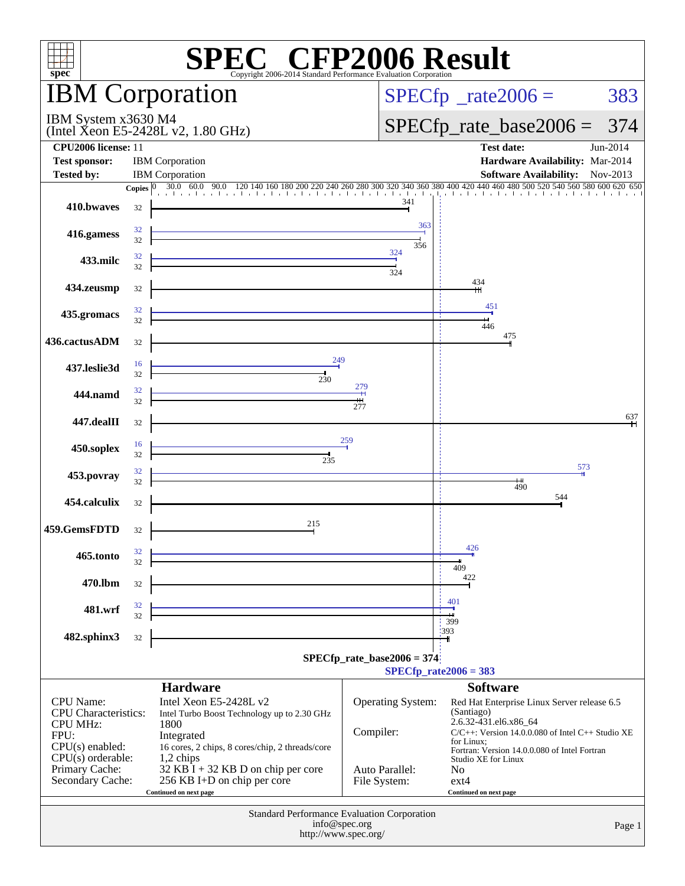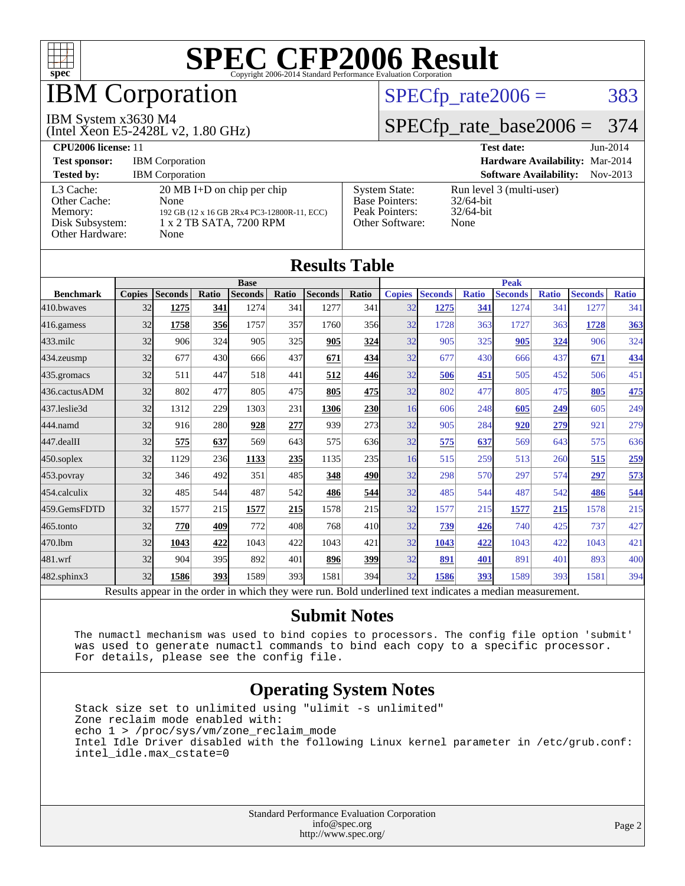

## IBM Corporation

#### IBM System x3630 M4

(Intel Xeon E5-2428L v2, 1.80 GHz)

#### $SPECTp_rate2006 = 383$

#### [SPECfp\\_rate\\_base2006 =](http://www.spec.org/auto/cpu2006/Docs/result-fields.html#SPECfpratebase2006) 374

| CPU <sub>2006</sub> license: 11                                            |                                                                                                                                |                                                                                    | <b>Test date:</b><br>$Jun-2014$                                  |  |
|----------------------------------------------------------------------------|--------------------------------------------------------------------------------------------------------------------------------|------------------------------------------------------------------------------------|------------------------------------------------------------------|--|
| <b>Test sponsor:</b>                                                       | <b>IBM</b> Corporation                                                                                                         |                                                                                    | Hardware Availability: Mar-2014                                  |  |
| <b>Tested by:</b>                                                          | <b>IBM</b> Corporation                                                                                                         |                                                                                    | <b>Software Availability:</b><br>Nov-2013                        |  |
| L3 Cache:<br>Other Cache:<br>Memory:<br>Disk Subsystem:<br>Other Hardware: | $20 \text{ MB I+D}$ on chip per chip<br>None<br>192 GB (12 x 16 GB 2Rx4 PC3-12800R-11, ECC)<br>1 x 2 TB SATA, 7200 RPM<br>None | <b>System State:</b><br><b>Base Pointers:</b><br>Peak Pointers:<br>Other Software: | Run level 3 (multi-user)<br>$32/64$ -bit<br>$32/64$ -bit<br>None |  |

| <b>Results Table</b> |               |                                                                                                          |       |                |            |                |                 |               |                |              |                |              |                |              |
|----------------------|---------------|----------------------------------------------------------------------------------------------------------|-------|----------------|------------|----------------|-----------------|---------------|----------------|--------------|----------------|--------------|----------------|--------------|
|                      | <b>Base</b>   |                                                                                                          |       | <b>Peak</b>    |            |                |                 |               |                |              |                |              |                |              |
| <b>Benchmark</b>     | <b>Copies</b> | <b>Seconds</b>                                                                                           | Ratio | <b>Seconds</b> | Ratio      | <b>Seconds</b> | <b>Ratio</b>    | <b>Copies</b> | <b>Seconds</b> | <b>Ratio</b> | <b>Seconds</b> | <b>Ratio</b> | <b>Seconds</b> | <b>Ratio</b> |
| 410.bwayes           | 32            | 1275                                                                                                     | 341   | 1274           | 341        | 1277           | 341             | 32            | 1275           | 341          | 1274           | 341          | 1277           | 341          |
| 416.gamess           | 32            | 1758                                                                                                     | 356   | 1757           | 357        | 1760           | 356             | 32            | 1728           | 363          | 1727           | 363          | 1728           | 363          |
| $433$ .milc          | 32            | 906                                                                                                      | 324   | 905            | 325        | 905            | 324             | 32            | 905            | 325          | 905            | 324          | 906            | 324          |
| 434.zeusmp           | 32            | 677                                                                                                      | 430   | 666            | 437        | 671            | 434             | 32            | 677            | 430          | 666            | 437          | 671            | 434          |
| 435.gromacs          | 32            | 511                                                                                                      | 447   | 518            | 441        | 512            | 446             | 32            | 506            | 451          | 505            | 452          | 506            | 451          |
| 436.cactusADM        | 32            | 802                                                                                                      | 477   | 805            | 475        | 805            | 475             | 32            | 802            | 477          | 805            | 475          | 805            | 475          |
| 437.leslie3d         | 32            | 1312                                                                                                     | 229   | 1303           | 231        | 1306           | <b>230</b>      | 16            | 606            | 248          | 605            | 249          | 605            | 249          |
| 444.namd             | 32            | 916                                                                                                      | 280   | 928            | 277        | 939            | 273             | 32            | 905            | 284          | 920            | 279          | 921            | 279          |
| 447.dealII           | 32            | 575                                                                                                      | 637   | 569            | 643        | 575            | 636             | 32            | 575            | 637          | 569            | 643          | 575            | 636          |
| $450$ .soplex        | 32            | 1129                                                                                                     | 236   | 1133           | 235        | 1135           | 235             | 16            | 515            | 259          | 513            | 260          | 515            | 259          |
| $453$ .povray        | 32            | 346                                                                                                      | 492   | 351            | 485        | 348            | <b>490</b>      | 32            | 298            | 570          | 297            | 574          | 297            | 573          |
| 454.calculix         | 32            | 485                                                                                                      | 544   | 487            | 542        | 486            | 544             | 32            | 485            | 544          | 487            | 542          | 486            | 544          |
| 459.GemsFDTD         | 32            | 1577                                                                                                     | 215   | 1577           | <b>215</b> | 1578           | 215             | 32            | 1577           | 215          | 1577           | 215          | 1578           | 215          |
| 465.tonto            | 32            | 770                                                                                                      | 409   | 772            | 408        | 768            | 41 <sub>0</sub> | 32            | 739            | 426          | 740            | 425          | 737            | 427          |
| 470.lbm              | 32            | 1043                                                                                                     | 422   | 1043           | 422        | 1043           | 421             | 32            | 1043           | 422          | 1043           | 422          | 1043           | 421          |
| 481.wrf              | 32            | 904                                                                                                      | 395   | 892            | 401        | 896            | <b>399</b>      | 32            | 891            | 401          | 891            | 401          | 893            | 400          |
| $482$ .sphinx $3$    | 32            | 1586                                                                                                     | 393   | 1589           | 393l       | 1581           | 394             | 32            | 1586           | 393          | 1589           | 393          | 1581           | 394          |
|                      |               | Results appear in the order in which they were run. Bold underlined text indicates a median measurement. |       |                |            |                |                 |               |                |              |                |              |                |              |

#### **[Submit Notes](http://www.spec.org/auto/cpu2006/Docs/result-fields.html#SubmitNotes)**

 The numactl mechanism was used to bind copies to processors. The config file option 'submit' was used to generate numactl commands to bind each copy to a specific processor. For details, please see the config file.

#### **[Operating System Notes](http://www.spec.org/auto/cpu2006/Docs/result-fields.html#OperatingSystemNotes)**

 Stack size set to unlimited using "ulimit -s unlimited" Zone reclaim mode enabled with: echo 1 > /proc/sys/vm/zone\_reclaim\_mode Intel Idle Driver disabled with the following Linux kernel parameter in /etc/grub.conf: intel\_idle.max\_cstate=0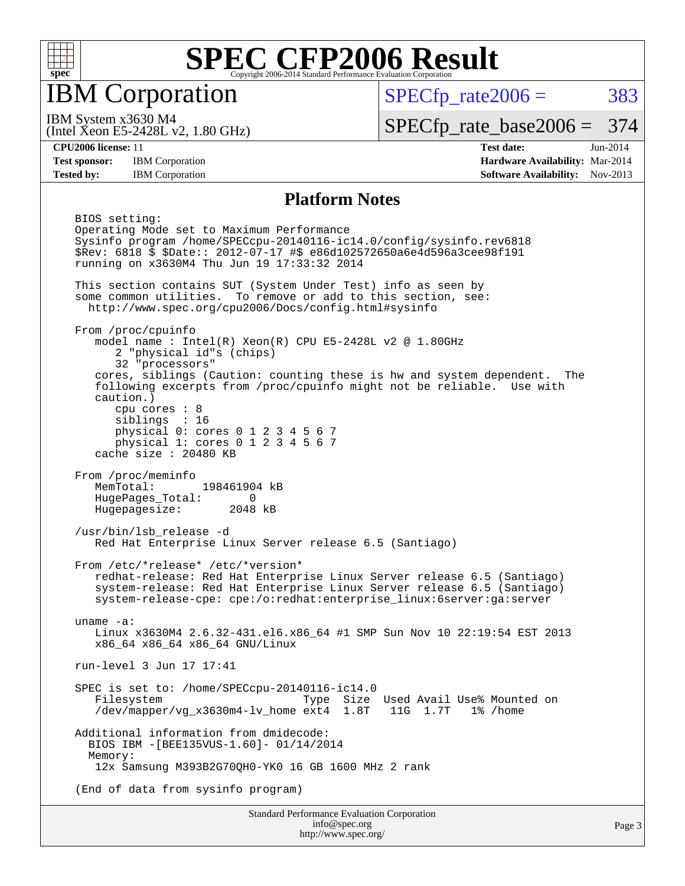

IBM Corporation

 $SPECTp\_rate2006 = 383$ 

(Intel Xeon E5-2428L v2, 1.80 GHz) IBM System x3630 M4

[SPECfp\\_rate\\_base2006 =](http://www.spec.org/auto/cpu2006/Docs/result-fields.html#SPECfpratebase2006) 374

**[CPU2006 license:](http://www.spec.org/auto/cpu2006/Docs/result-fields.html#CPU2006license)** 11 **[Test date:](http://www.spec.org/auto/cpu2006/Docs/result-fields.html#Testdate)** Jun-2014 **[Test sponsor:](http://www.spec.org/auto/cpu2006/Docs/result-fields.html#Testsponsor)** IBM Corporation **[Hardware Availability:](http://www.spec.org/auto/cpu2006/Docs/result-fields.html#HardwareAvailability)** Mar-2014 **[Tested by:](http://www.spec.org/auto/cpu2006/Docs/result-fields.html#Testedby)** IBM Corporation **[Software Availability:](http://www.spec.org/auto/cpu2006/Docs/result-fields.html#SoftwareAvailability)** Nov-2013

#### **[Platform Notes](http://www.spec.org/auto/cpu2006/Docs/result-fields.html#PlatformNotes)**

 BIOS setting: Operating Mode set to Maximum Performance Sysinfo program /home/SPECcpu-20140116-ic14.0/config/sysinfo.rev6818 \$Rev: 6818 \$ \$Date:: 2012-07-17 #\$ e86d102572650a6e4d596a3cee98f191 running on x3630M4 Thu Jun 19 17:33:32 2014 This section contains SUT (System Under Test) info as seen by some common utilities. To remove or add to this section, see: <http://www.spec.org/cpu2006/Docs/config.html#sysinfo> From /proc/cpuinfo model name :  $Intel(R)$  Xeon $(R)$  CPU E5-2428L v2 @ 1.80GHz 2 "physical id"s (chips) 32 "processors" cores, siblings (Caution: counting these is hw and system dependent. The following excerpts from /proc/cpuinfo might not be reliable. Use with caution.) cpu cores : 8 siblings : 16 physical 0: cores 0 1 2 3 4 5 6 7 physical 1: cores 0 1 2 3 4 5 6 7 cache size : 20480 KB From /proc/meminfo MemTotal: 198461904 kB HugePages\_Total: 0 Hugepagesize: 2048 kB /usr/bin/lsb\_release -d Red Hat Enterprise Linux Server release 6.5 (Santiago) From /etc/\*release\* /etc/\*version\* redhat-release: Red Hat Enterprise Linux Server release 6.5 (Santiago) system-release: Red Hat Enterprise Linux Server release 6.5 (Santiago) system-release-cpe: cpe:/o:redhat:enterprise\_linux:6server:ga:server uname -a: Linux x3630M4 2.6.32-431.el6.x86\_64 #1 SMP Sun Nov 10 22:19:54 EST 2013 x86\_64 x86\_64 x86\_64 GNU/Linux run-level 3 Jun 17 17:41 SPEC is set to: /home/SPECcpu-20140116-ic14.0 Type Size Used Avail Use% Mounted on /dev/mapper/vg\_x3630m4-lv\_home ext4 1.8T 11G 1.7T 1% /home Additional information from dmidecode: BIOS IBM -[BEE135VUS-1.60]- 01/14/2014 Memory: 12x Samsung M393B2G70QH0-YK0 16 GB 1600 MHz 2 rank (End of data from sysinfo program)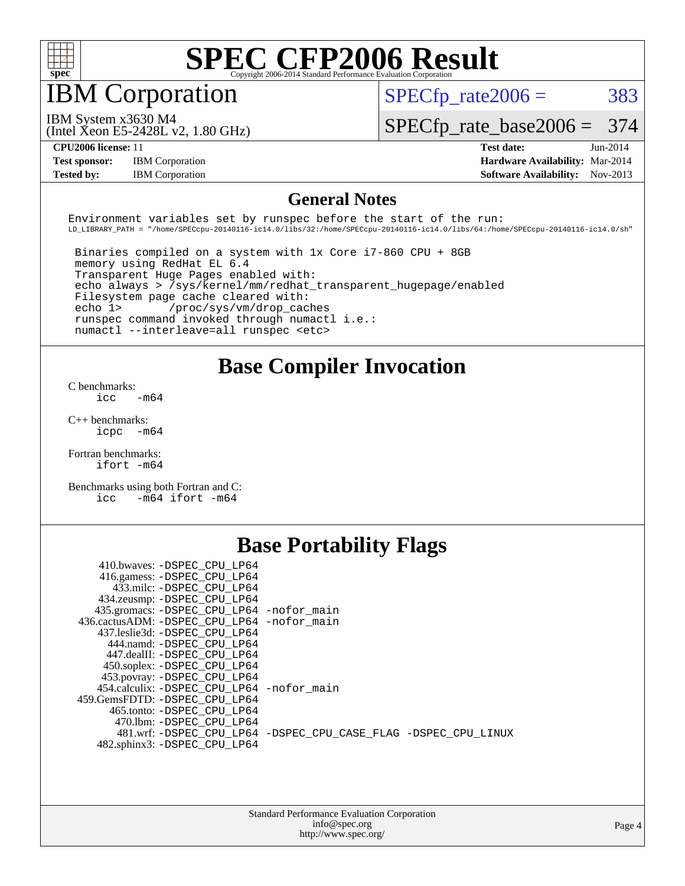

## IBM Corporation

(Intel Xeon E5-2428L v2, 1.80 GHz)

 $SPECTp\_rate2006 = 383$ 

IBM System x3630 M4

[SPECfp\\_rate\\_base2006 =](http://www.spec.org/auto/cpu2006/Docs/result-fields.html#SPECfpratebase2006) 374

**[Test sponsor:](http://www.spec.org/auto/cpu2006/Docs/result-fields.html#Testsponsor)** IBM Corporation **[Hardware Availability:](http://www.spec.org/auto/cpu2006/Docs/result-fields.html#HardwareAvailability)** Mar-2014

**[CPU2006 license:](http://www.spec.org/auto/cpu2006/Docs/result-fields.html#CPU2006license)** 11 **[Test date:](http://www.spec.org/auto/cpu2006/Docs/result-fields.html#Testdate)** Jun-2014 **[Tested by:](http://www.spec.org/auto/cpu2006/Docs/result-fields.html#Testedby)** IBM Corporation **[Software Availability:](http://www.spec.org/auto/cpu2006/Docs/result-fields.html#SoftwareAvailability)** Nov-2013

#### **[General Notes](http://www.spec.org/auto/cpu2006/Docs/result-fields.html#GeneralNotes)**

Environment variables set by runspec before the start of the run: LD\_LIBRARY\_PATH = "/home/SPECcpu-20140116-ic14.0/libs/32:/home/SPECcpu-20140116-ic14.0/libs/64:/home/SPECcpu-20140116-ic14.0/sh"

 Binaries compiled on a system with 1x Core i7-860 CPU + 8GB memory using RedHat EL 6.4 Transparent Huge Pages enabled with: echo always > /sys/kernel/mm/redhat\_transparent\_hugepage/enabled Filesystem page cache cleared with: echo 1> /proc/sys/vm/drop\_caches runspec command invoked through numactl i.e.: numactl --interleave=all runspec <etc>

#### **[Base Compiler Invocation](http://www.spec.org/auto/cpu2006/Docs/result-fields.html#BaseCompilerInvocation)**

[C benchmarks](http://www.spec.org/auto/cpu2006/Docs/result-fields.html#Cbenchmarks):  $\text{icc}$   $-\text{m64}$ 

[C++ benchmarks:](http://www.spec.org/auto/cpu2006/Docs/result-fields.html#CXXbenchmarks) [icpc -m64](http://www.spec.org/cpu2006/results/res2014q3/cpu2006-20140625-30015.flags.html#user_CXXbase_intel_icpc_64bit_bedb90c1146cab66620883ef4f41a67e)

[Fortran benchmarks](http://www.spec.org/auto/cpu2006/Docs/result-fields.html#Fortranbenchmarks): [ifort -m64](http://www.spec.org/cpu2006/results/res2014q3/cpu2006-20140625-30015.flags.html#user_FCbase_intel_ifort_64bit_ee9d0fb25645d0210d97eb0527dcc06e)

[Benchmarks using both Fortran and C](http://www.spec.org/auto/cpu2006/Docs/result-fields.html#BenchmarksusingbothFortranandC): [icc -m64](http://www.spec.org/cpu2006/results/res2014q3/cpu2006-20140625-30015.flags.html#user_CC_FCbase_intel_icc_64bit_0b7121f5ab7cfabee23d88897260401c) [ifort -m64](http://www.spec.org/cpu2006/results/res2014q3/cpu2006-20140625-30015.flags.html#user_CC_FCbase_intel_ifort_64bit_ee9d0fb25645d0210d97eb0527dcc06e)

## **[Base Portability Flags](http://www.spec.org/auto/cpu2006/Docs/result-fields.html#BasePortabilityFlags)**

| 410.bwaves: -DSPEC CPU LP64                 |                                                                |
|---------------------------------------------|----------------------------------------------------------------|
| 416.gamess: -DSPEC_CPU_LP64                 |                                                                |
| 433.milc: -DSPEC CPU LP64                   |                                                                |
| 434.zeusmp: - DSPEC_CPU_LP64                |                                                                |
| 435.gromacs: -DSPEC_CPU_LP64 -nofor_main    |                                                                |
| 436.cactusADM: -DSPEC CPU LP64 -nofor main  |                                                                |
| 437.leslie3d: -DSPEC CPU LP64               |                                                                |
| 444.namd: -DSPEC CPU LP64                   |                                                                |
| 447.dealII: -DSPEC CPU LP64                 |                                                                |
| 450.soplex: -DSPEC_CPU_LP64                 |                                                                |
| 453.povray: -DSPEC_CPU_LP64                 |                                                                |
| 454.calculix: - DSPEC CPU LP64 - nofor main |                                                                |
| 459.GemsFDTD: - DSPEC_CPU LP64              |                                                                |
| 465.tonto: -DSPEC CPU LP64                  |                                                                |
| 470.1bm: - DSPEC CPU LP64                   |                                                                |
|                                             | 481.wrf: -DSPEC CPU_LP64 -DSPEC_CPU_CASE_FLAG -DSPEC_CPU_LINUX |
| 482.sphinx3: -DSPEC CPU LP64                |                                                                |
|                                             |                                                                |

| <b>Standard Performance Evaluation Corporation</b> |
|----------------------------------------------------|
| info@spec.org                                      |
| http://www.spec.org/                               |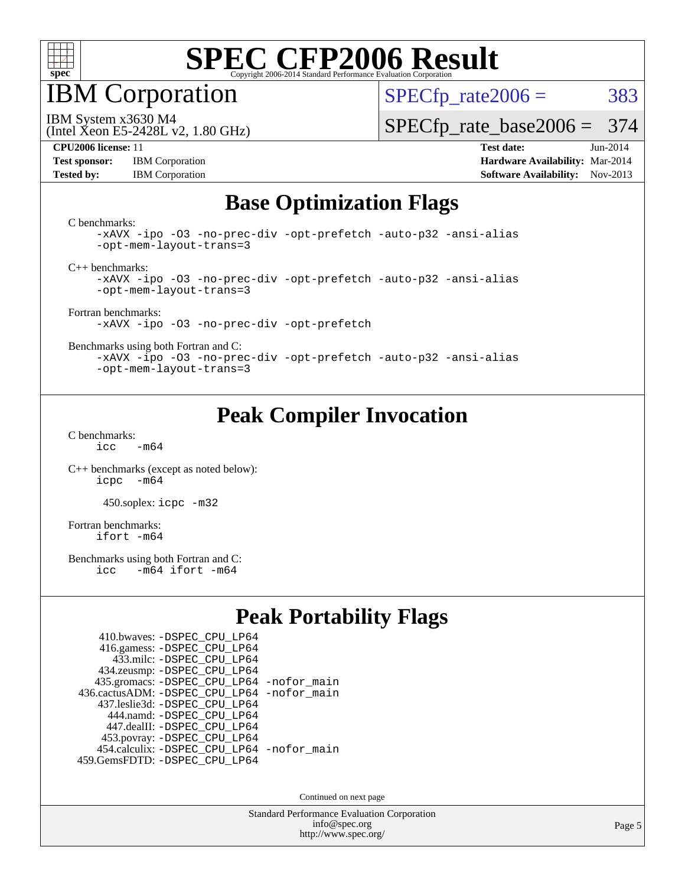

IBM Corporation

(Intel Xeon E5-2428L v2, 1.80 GHz)

 $SPECTp\_rate2006 = 383$ 

IBM System x3630 M4

[SPECfp\\_rate\\_base2006 =](http://www.spec.org/auto/cpu2006/Docs/result-fields.html#SPECfpratebase2006) 374

**[Test sponsor:](http://www.spec.org/auto/cpu2006/Docs/result-fields.html#Testsponsor)** IBM Corporation **[Hardware Availability:](http://www.spec.org/auto/cpu2006/Docs/result-fields.html#HardwareAvailability)** Mar-2014

**[CPU2006 license:](http://www.spec.org/auto/cpu2006/Docs/result-fields.html#CPU2006license)** 11 **[Test date:](http://www.spec.org/auto/cpu2006/Docs/result-fields.html#Testdate)** Jun-2014 **[Tested by:](http://www.spec.org/auto/cpu2006/Docs/result-fields.html#Testedby)** IBM Corporation **[Software Availability:](http://www.spec.org/auto/cpu2006/Docs/result-fields.html#SoftwareAvailability)** Nov-2013

## **[Base Optimization Flags](http://www.spec.org/auto/cpu2006/Docs/result-fields.html#BaseOptimizationFlags)**

[C benchmarks](http://www.spec.org/auto/cpu2006/Docs/result-fields.html#Cbenchmarks):

[-xAVX](http://www.spec.org/cpu2006/results/res2014q3/cpu2006-20140625-30015.flags.html#user_CCbase_f-xAVX) [-ipo](http://www.spec.org/cpu2006/results/res2014q3/cpu2006-20140625-30015.flags.html#user_CCbase_f-ipo) [-O3](http://www.spec.org/cpu2006/results/res2014q3/cpu2006-20140625-30015.flags.html#user_CCbase_f-O3) [-no-prec-div](http://www.spec.org/cpu2006/results/res2014q3/cpu2006-20140625-30015.flags.html#user_CCbase_f-no-prec-div) [-opt-prefetch](http://www.spec.org/cpu2006/results/res2014q3/cpu2006-20140625-30015.flags.html#user_CCbase_f-opt-prefetch) [-auto-p32](http://www.spec.org/cpu2006/results/res2014q3/cpu2006-20140625-30015.flags.html#user_CCbase_f-auto-p32) [-ansi-alias](http://www.spec.org/cpu2006/results/res2014q3/cpu2006-20140625-30015.flags.html#user_CCbase_f-ansi-alias) [-opt-mem-layout-trans=3](http://www.spec.org/cpu2006/results/res2014q3/cpu2006-20140625-30015.flags.html#user_CCbase_f-opt-mem-layout-trans_a7b82ad4bd7abf52556d4961a2ae94d5)

[C++ benchmarks:](http://www.spec.org/auto/cpu2006/Docs/result-fields.html#CXXbenchmarks)

[-xAVX](http://www.spec.org/cpu2006/results/res2014q3/cpu2006-20140625-30015.flags.html#user_CXXbase_f-xAVX) [-ipo](http://www.spec.org/cpu2006/results/res2014q3/cpu2006-20140625-30015.flags.html#user_CXXbase_f-ipo) [-O3](http://www.spec.org/cpu2006/results/res2014q3/cpu2006-20140625-30015.flags.html#user_CXXbase_f-O3) [-no-prec-div](http://www.spec.org/cpu2006/results/res2014q3/cpu2006-20140625-30015.flags.html#user_CXXbase_f-no-prec-div) [-opt-prefetch](http://www.spec.org/cpu2006/results/res2014q3/cpu2006-20140625-30015.flags.html#user_CXXbase_f-opt-prefetch) [-auto-p32](http://www.spec.org/cpu2006/results/res2014q3/cpu2006-20140625-30015.flags.html#user_CXXbase_f-auto-p32) [-ansi-alias](http://www.spec.org/cpu2006/results/res2014q3/cpu2006-20140625-30015.flags.html#user_CXXbase_f-ansi-alias) [-opt-mem-layout-trans=3](http://www.spec.org/cpu2006/results/res2014q3/cpu2006-20140625-30015.flags.html#user_CXXbase_f-opt-mem-layout-trans_a7b82ad4bd7abf52556d4961a2ae94d5)

[Fortran benchmarks](http://www.spec.org/auto/cpu2006/Docs/result-fields.html#Fortranbenchmarks): [-xAVX](http://www.spec.org/cpu2006/results/res2014q3/cpu2006-20140625-30015.flags.html#user_FCbase_f-xAVX) [-ipo](http://www.spec.org/cpu2006/results/res2014q3/cpu2006-20140625-30015.flags.html#user_FCbase_f-ipo) [-O3](http://www.spec.org/cpu2006/results/res2014q3/cpu2006-20140625-30015.flags.html#user_FCbase_f-O3) [-no-prec-div](http://www.spec.org/cpu2006/results/res2014q3/cpu2006-20140625-30015.flags.html#user_FCbase_f-no-prec-div) [-opt-prefetch](http://www.spec.org/cpu2006/results/res2014q3/cpu2006-20140625-30015.flags.html#user_FCbase_f-opt-prefetch)

[Benchmarks using both Fortran and C](http://www.spec.org/auto/cpu2006/Docs/result-fields.html#BenchmarksusingbothFortranandC):

[-xAVX](http://www.spec.org/cpu2006/results/res2014q3/cpu2006-20140625-30015.flags.html#user_CC_FCbase_f-xAVX) [-ipo](http://www.spec.org/cpu2006/results/res2014q3/cpu2006-20140625-30015.flags.html#user_CC_FCbase_f-ipo) [-O3](http://www.spec.org/cpu2006/results/res2014q3/cpu2006-20140625-30015.flags.html#user_CC_FCbase_f-O3) [-no-prec-div](http://www.spec.org/cpu2006/results/res2014q3/cpu2006-20140625-30015.flags.html#user_CC_FCbase_f-no-prec-div) [-opt-prefetch](http://www.spec.org/cpu2006/results/res2014q3/cpu2006-20140625-30015.flags.html#user_CC_FCbase_f-opt-prefetch) [-auto-p32](http://www.spec.org/cpu2006/results/res2014q3/cpu2006-20140625-30015.flags.html#user_CC_FCbase_f-auto-p32) [-ansi-alias](http://www.spec.org/cpu2006/results/res2014q3/cpu2006-20140625-30015.flags.html#user_CC_FCbase_f-ansi-alias) [-opt-mem-layout-trans=3](http://www.spec.org/cpu2006/results/res2014q3/cpu2006-20140625-30015.flags.html#user_CC_FCbase_f-opt-mem-layout-trans_a7b82ad4bd7abf52556d4961a2ae94d5)

## **[Peak Compiler Invocation](http://www.spec.org/auto/cpu2006/Docs/result-fields.html#PeakCompilerInvocation)**

[C benchmarks](http://www.spec.org/auto/cpu2006/Docs/result-fields.html#Cbenchmarks):

 $icc$   $-m64$ 

[C++ benchmarks \(except as noted below\):](http://www.spec.org/auto/cpu2006/Docs/result-fields.html#CXXbenchmarksexceptasnotedbelow) [icpc -m64](http://www.spec.org/cpu2006/results/res2014q3/cpu2006-20140625-30015.flags.html#user_CXXpeak_intel_icpc_64bit_bedb90c1146cab66620883ef4f41a67e)

450.soplex: [icpc -m32](http://www.spec.org/cpu2006/results/res2014q3/cpu2006-20140625-30015.flags.html#user_peakCXXLD450_soplex_intel_icpc_4e5a5ef1a53fd332b3c49e69c3330699)

[Fortran benchmarks](http://www.spec.org/auto/cpu2006/Docs/result-fields.html#Fortranbenchmarks): [ifort -m64](http://www.spec.org/cpu2006/results/res2014q3/cpu2006-20140625-30015.flags.html#user_FCpeak_intel_ifort_64bit_ee9d0fb25645d0210d97eb0527dcc06e)

[Benchmarks using both Fortran and C](http://www.spec.org/auto/cpu2006/Docs/result-fields.html#BenchmarksusingbothFortranandC):<br>icc -m64 ifort -m64  $-m64$  ifort  $-m64$ 

## **[Peak Portability Flags](http://www.spec.org/auto/cpu2006/Docs/result-fields.html#PeakPortabilityFlags)**

| 410.bwaves: - DSPEC CPU LP64                |  |
|---------------------------------------------|--|
| 416.gamess: -DSPEC_CPU_LP64                 |  |
| 433.milc: - DSPEC_CPU LP64                  |  |
| 434.zeusmp: -DSPEC_CPU_LP64                 |  |
| 435.gromacs: -DSPEC_CPU_LP64 -nofor_main    |  |
| 436.cactusADM: -DSPEC CPU LP64 -nofor main  |  |
| 437.leslie3d: -DSPEC CPU LP64               |  |
| 444.namd: - DSPEC CPU LP64                  |  |
| 447.dealII: -DSPEC CPU LP64                 |  |
| 453.povray: -DSPEC_CPU_LP64                 |  |
| 454.calculix: - DSPEC CPU LP64 - nofor main |  |
| 459.GemsFDTD: - DSPEC_CPU_LP64              |  |

Continued on next page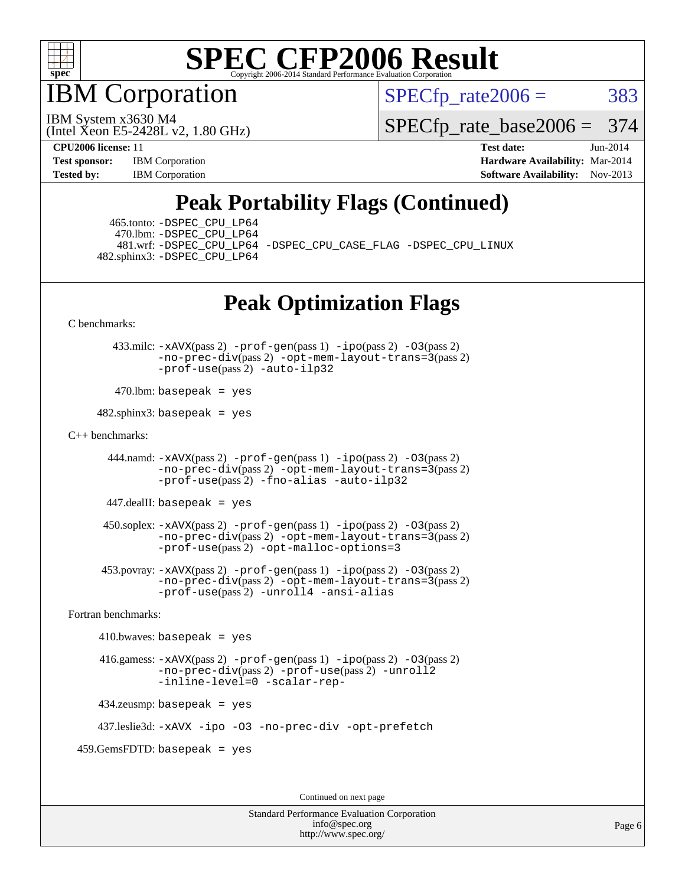

IBM Corporation

 $SPECTp\_rate2006 = 383$ 

(Intel Xeon E5-2428L v2, 1.80 GHz) IBM System x3630 M4

[SPECfp\\_rate\\_base2006 =](http://www.spec.org/auto/cpu2006/Docs/result-fields.html#SPECfpratebase2006) 374

**[CPU2006 license:](http://www.spec.org/auto/cpu2006/Docs/result-fields.html#CPU2006license)** 11 **[Test date:](http://www.spec.org/auto/cpu2006/Docs/result-fields.html#Testdate)** Jun-2014 **[Test sponsor:](http://www.spec.org/auto/cpu2006/Docs/result-fields.html#Testsponsor)** IBM Corporation **[Hardware Availability:](http://www.spec.org/auto/cpu2006/Docs/result-fields.html#HardwareAvailability)** Mar-2014 **[Tested by:](http://www.spec.org/auto/cpu2006/Docs/result-fields.html#Testedby)** IBM Corporation **IBM** Corporation **[Software Availability:](http://www.spec.org/auto/cpu2006/Docs/result-fields.html#SoftwareAvailability)** Nov-2013

## **[Peak Portability Flags \(Continued\)](http://www.spec.org/auto/cpu2006/Docs/result-fields.html#PeakPortabilityFlags)**

 465.tonto: [-DSPEC\\_CPU\\_LP64](http://www.spec.org/cpu2006/results/res2014q3/cpu2006-20140625-30015.flags.html#suite_peakPORTABILITY465_tonto_DSPEC_CPU_LP64) 470.lbm: [-DSPEC\\_CPU\\_LP64](http://www.spec.org/cpu2006/results/res2014q3/cpu2006-20140625-30015.flags.html#suite_peakPORTABILITY470_lbm_DSPEC_CPU_LP64) 482.sphinx3: [-DSPEC\\_CPU\\_LP64](http://www.spec.org/cpu2006/results/res2014q3/cpu2006-20140625-30015.flags.html#suite_peakPORTABILITY482_sphinx3_DSPEC_CPU_LP64)

481.wrf: [-DSPEC\\_CPU\\_LP64](http://www.spec.org/cpu2006/results/res2014q3/cpu2006-20140625-30015.flags.html#suite_peakPORTABILITY481_wrf_DSPEC_CPU_LP64) [-DSPEC\\_CPU\\_CASE\\_FLAG](http://www.spec.org/cpu2006/results/res2014q3/cpu2006-20140625-30015.flags.html#b481.wrf_peakCPORTABILITY_DSPEC_CPU_CASE_FLAG) [-DSPEC\\_CPU\\_LINUX](http://www.spec.org/cpu2006/results/res2014q3/cpu2006-20140625-30015.flags.html#b481.wrf_peakCPORTABILITY_DSPEC_CPU_LINUX)

## **[Peak Optimization Flags](http://www.spec.org/auto/cpu2006/Docs/result-fields.html#PeakOptimizationFlags)**

[C benchmarks](http://www.spec.org/auto/cpu2006/Docs/result-fields.html#Cbenchmarks):

 433.milc: [-xAVX](http://www.spec.org/cpu2006/results/res2014q3/cpu2006-20140625-30015.flags.html#user_peakPASS2_CFLAGSPASS2_LDFLAGS433_milc_f-xAVX)(pass 2) [-prof-gen](http://www.spec.org/cpu2006/results/res2014q3/cpu2006-20140625-30015.flags.html#user_peakPASS1_CFLAGSPASS1_LDFLAGS433_milc_prof_gen_e43856698f6ca7b7e442dfd80e94a8fc)(pass 1) [-ipo](http://www.spec.org/cpu2006/results/res2014q3/cpu2006-20140625-30015.flags.html#user_peakPASS2_CFLAGSPASS2_LDFLAGS433_milc_f-ipo)(pass 2) [-O3](http://www.spec.org/cpu2006/results/res2014q3/cpu2006-20140625-30015.flags.html#user_peakPASS2_CFLAGSPASS2_LDFLAGS433_milc_f-O3)(pass 2) [-no-prec-div](http://www.spec.org/cpu2006/results/res2014q3/cpu2006-20140625-30015.flags.html#user_peakPASS2_CFLAGSPASS2_LDFLAGS433_milc_f-no-prec-div)(pass 2) [-opt-mem-layout-trans=3](http://www.spec.org/cpu2006/results/res2014q3/cpu2006-20140625-30015.flags.html#user_peakPASS2_CFLAGS433_milc_f-opt-mem-layout-trans_a7b82ad4bd7abf52556d4961a2ae94d5)(pass 2) [-prof-use](http://www.spec.org/cpu2006/results/res2014q3/cpu2006-20140625-30015.flags.html#user_peakPASS2_CFLAGSPASS2_LDFLAGS433_milc_prof_use_bccf7792157ff70d64e32fe3e1250b55)(pass 2) [-auto-ilp32](http://www.spec.org/cpu2006/results/res2014q3/cpu2006-20140625-30015.flags.html#user_peakCOPTIMIZE433_milc_f-auto-ilp32)

 $470$ .lbm: basepeak = yes

 $482$ .sphinx3: basepeak = yes

#### [C++ benchmarks:](http://www.spec.org/auto/cpu2006/Docs/result-fields.html#CXXbenchmarks)

444.namd:  $-x$ AVX(pass 2)  $-p$ rof-gen(pass 1)  $-p$ po(pass 2)  $-03$ (pass 2) [-no-prec-div](http://www.spec.org/cpu2006/results/res2014q3/cpu2006-20140625-30015.flags.html#user_peakPASS2_CXXFLAGSPASS2_LDFLAGS444_namd_f-no-prec-div)(pass 2) [-opt-mem-layout-trans=3](http://www.spec.org/cpu2006/results/res2014q3/cpu2006-20140625-30015.flags.html#user_peakPASS2_CXXFLAGS444_namd_f-opt-mem-layout-trans_a7b82ad4bd7abf52556d4961a2ae94d5)(pass 2) [-prof-use](http://www.spec.org/cpu2006/results/res2014q3/cpu2006-20140625-30015.flags.html#user_peakPASS2_CXXFLAGSPASS2_LDFLAGS444_namd_prof_use_bccf7792157ff70d64e32fe3e1250b55)(pass 2) [-fno-alias](http://www.spec.org/cpu2006/results/res2014q3/cpu2006-20140625-30015.flags.html#user_peakCXXOPTIMIZE444_namd_f-no-alias_694e77f6c5a51e658e82ccff53a9e63a) [-auto-ilp32](http://www.spec.org/cpu2006/results/res2014q3/cpu2006-20140625-30015.flags.html#user_peakCXXOPTIMIZE444_namd_f-auto-ilp32)

447.dealII: basepeak = yes

 $450$ .soplex:  $-x$ AVX(pass 2)  $-p$ rof-gen(pass 1)  $-i$ po(pass 2)  $-03$ (pass 2) [-no-prec-div](http://www.spec.org/cpu2006/results/res2014q3/cpu2006-20140625-30015.flags.html#user_peakPASS2_CXXFLAGSPASS2_LDFLAGS450_soplex_f-no-prec-div)(pass 2) [-opt-mem-layout-trans=3](http://www.spec.org/cpu2006/results/res2014q3/cpu2006-20140625-30015.flags.html#user_peakPASS2_CXXFLAGS450_soplex_f-opt-mem-layout-trans_a7b82ad4bd7abf52556d4961a2ae94d5)(pass 2) [-prof-use](http://www.spec.org/cpu2006/results/res2014q3/cpu2006-20140625-30015.flags.html#user_peakPASS2_CXXFLAGSPASS2_LDFLAGS450_soplex_prof_use_bccf7792157ff70d64e32fe3e1250b55)(pass 2) [-opt-malloc-options=3](http://www.spec.org/cpu2006/results/res2014q3/cpu2006-20140625-30015.flags.html#user_peakOPTIMIZE450_soplex_f-opt-malloc-options_13ab9b803cf986b4ee62f0a5998c2238)

 453.povray: [-xAVX](http://www.spec.org/cpu2006/results/res2014q3/cpu2006-20140625-30015.flags.html#user_peakPASS2_CXXFLAGSPASS2_LDFLAGS453_povray_f-xAVX)(pass 2) [-prof-gen](http://www.spec.org/cpu2006/results/res2014q3/cpu2006-20140625-30015.flags.html#user_peakPASS1_CXXFLAGSPASS1_LDFLAGS453_povray_prof_gen_e43856698f6ca7b7e442dfd80e94a8fc)(pass 1) [-ipo](http://www.spec.org/cpu2006/results/res2014q3/cpu2006-20140625-30015.flags.html#user_peakPASS2_CXXFLAGSPASS2_LDFLAGS453_povray_f-ipo)(pass 2) [-O3](http://www.spec.org/cpu2006/results/res2014q3/cpu2006-20140625-30015.flags.html#user_peakPASS2_CXXFLAGSPASS2_LDFLAGS453_povray_f-O3)(pass 2) [-no-prec-div](http://www.spec.org/cpu2006/results/res2014q3/cpu2006-20140625-30015.flags.html#user_peakPASS2_CXXFLAGSPASS2_LDFLAGS453_povray_f-no-prec-div)(pass 2) [-opt-mem-layout-trans=3](http://www.spec.org/cpu2006/results/res2014q3/cpu2006-20140625-30015.flags.html#user_peakPASS2_CXXFLAGS453_povray_f-opt-mem-layout-trans_a7b82ad4bd7abf52556d4961a2ae94d5)(pass 2) [-prof-use](http://www.spec.org/cpu2006/results/res2014q3/cpu2006-20140625-30015.flags.html#user_peakPASS2_CXXFLAGSPASS2_LDFLAGS453_povray_prof_use_bccf7792157ff70d64e32fe3e1250b55)(pass 2) [-unroll4](http://www.spec.org/cpu2006/results/res2014q3/cpu2006-20140625-30015.flags.html#user_peakCXXOPTIMIZE453_povray_f-unroll_4e5e4ed65b7fd20bdcd365bec371b81f) [-ansi-alias](http://www.spec.org/cpu2006/results/res2014q3/cpu2006-20140625-30015.flags.html#user_peakCXXOPTIMIZE453_povray_f-ansi-alias)

[Fortran benchmarks](http://www.spec.org/auto/cpu2006/Docs/result-fields.html#Fortranbenchmarks):

```
410.bwaves: basepeak = yes 416.gamess: -xAVX(pass 2) -prof-gen(pass 1) -ipo(pass 2) -O3(pass 2)
         -no-prec-div(pass 2) -prof-use(pass 2) -unroll2
         -inline-level=0 -scalar-rep-
434.zeusmp: basepeak = yes
```
437.leslie3d: [-xAVX](http://www.spec.org/cpu2006/results/res2014q3/cpu2006-20140625-30015.flags.html#user_peakOPTIMIZE437_leslie3d_f-xAVX) [-ipo](http://www.spec.org/cpu2006/results/res2014q3/cpu2006-20140625-30015.flags.html#user_peakOPTIMIZE437_leslie3d_f-ipo) [-O3](http://www.spec.org/cpu2006/results/res2014q3/cpu2006-20140625-30015.flags.html#user_peakOPTIMIZE437_leslie3d_f-O3) [-no-prec-div](http://www.spec.org/cpu2006/results/res2014q3/cpu2006-20140625-30015.flags.html#user_peakOPTIMIZE437_leslie3d_f-no-prec-div) [-opt-prefetch](http://www.spec.org/cpu2006/results/res2014q3/cpu2006-20140625-30015.flags.html#user_peakOPTIMIZE437_leslie3d_f-opt-prefetch)

459.GemsFDTD: basepeak = yes

Continued on next page